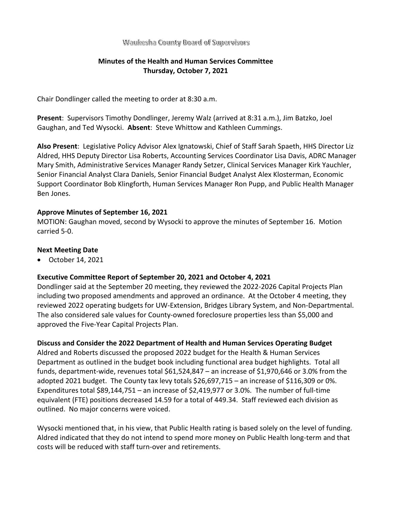#### Waukesha County Board of Supervisors

# **Minutes of the Health and Human Services Committee Thursday, October 7, 2021**

Chair Dondlinger called the meeting to order at 8:30 a.m.

**Present**: Supervisors Timothy Dondlinger, Jeremy Walz (arrived at 8:31 a.m.), Jim Batzko, Joel Gaughan, and Ted Wysocki. **Absent**: Steve Whittow and Kathleen Cummings.

**Also Present**: Legislative Policy Advisor Alex Ignatowski, Chief of Staff Sarah Spaeth, HHS Director Liz Aldred, HHS Deputy Director Lisa Roberts, Accounting Services Coordinator Lisa Davis, ADRC Manager Mary Smith, Administrative Services Manager Randy Setzer, Clinical Services Manager Kirk Yauchler, Senior Financial Analyst Clara Daniels, Senior Financial Budget Analyst Alex Klosterman, Economic Support Coordinator Bob Klingforth, Human Services Manager Ron Pupp, and Public Health Manager Ben Jones.

## **Approve Minutes of September 16, 2021**

MOTION: Gaughan moved, second by Wysocki to approve the minutes of September 16. Motion carried 5-0.

## **Next Meeting Date**

• October 14, 2021

## **Executive Committee Report of September 20, 2021 and October 4, 2021**

Dondlinger said at the September 20 meeting, they reviewed the 2022-2026 Capital Projects Plan including two proposed amendments and approved an ordinance. At the October 4 meeting, they reviewed 2022 operating budgets for UW-Extension, Bridges Library System, and Non-Departmental. The also considered sale values for County-owned foreclosure properties less than \$5,000 and approved the Five-Year Capital Projects Plan.

#### **Discuss and Consider the 2022 Department of Health and Human Services Operating Budget**

Aldred and Roberts discussed the proposed 2022 budget for the Health & Human Services Department as outlined in the budget book including functional area budget highlights. Total all funds, department-wide, revenues total \$61,524,847 – an increase of \$1,970,646 or 3.0% from the adopted 2021 budget. The County tax levy totals \$26,697,715 – an increase of \$116,309 or 0%. Expenditures total \$89,144,751 – an increase of \$2,419,977 or 3.0%. The number of full-time equivalent (FTE) positions decreased 14.59 for a total of 449.34. Staff reviewed each division as outlined. No major concerns were voiced.

Wysocki mentioned that, in his view, that Public Health rating is based solely on the level of funding. Aldred indicated that they do not intend to spend more money on Public Health long-term and that costs will be reduced with staff turn-over and retirements.